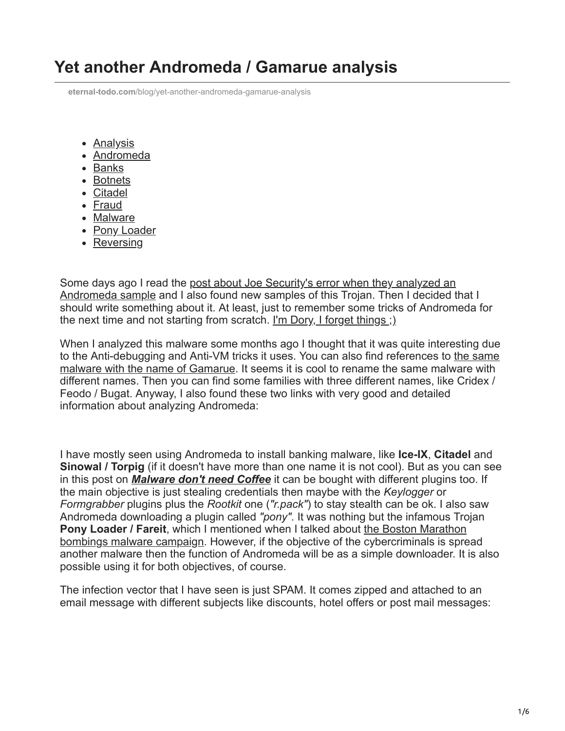## **Yet another Andromeda / Gamarue analysis**

**eternal-todo.com**[/blog/yet-another-andromeda-gamarue-analysis](https://eternal-todo.com/blog/yet-another-andromeda-gamarue-analysis)

- [Analysis](https://eternal-todo.com/category/analysis)
- [Andromeda](https://eternal-todo.com/category/andromeda)
- [Banks](https://eternal-todo.com/category/banks)
- [Botnets](https://eternal-todo.com/category/botnets)
- [Citadel](https://eternal-todo.com/category/citadel)
- [Fraud](https://eternal-todo.com/category/fraud)
- [Malware](https://eternal-todo.com/category/malware)
- [Pony Loader](https://eternal-todo.com/category/pony-loader)
- [Reversing](https://eternal-todo.com/category/reversing)

[Some days ago I read the post about Joe Security's error when they analyzed an](http://joe4security.blogspot.nl/2013/08/anti-vm-gone-wrong.html) Andromeda sample and I also found new samples of this Trojan. Then I decided that I should write something about it. At least, just to remember some tricks of Andromeda for the next time and not starting from scratch. [I'm Dory, I forget things ;\)](http://www.youtube.com/watch?v=NOnPbNfKcds)

When I analyzed this malware some months ago I thought that it was quite interesting due [to the Anti-debugging and Anti-VM tricks it uses. You can also find references to the same](http://blog.trendmicro.com/trendlabs-security-intelligence/gamarue-malware-goes-to-germany/) malware with the name of Gamarue. It seems it is cool to rename the same malware with different names. Then you can find some families with three different names, like Cridex / Feodo / Bugat. Anyway, I also found these two links with very good and detailed information about analyzing Andromeda:

I have mostly seen using Andromeda to install banking malware, like **Ice-IX**, **Citadel** and **Sinowal / Torpig** (if it doesn't have more than one name it is not cool). But as you can see in this post on *[Malware don't need Coffee](http://malware.dontneedcoffee.com/2012/07/inside-andromeda-bot-v206-webpanel-aka.html)* it can be bought with different plugins too. If the main objective is just stealing credentials then maybe with the *Keylogger* or *Formgrabber* plugins plus the *Rootkit* one (*"r.pack"*) to stay stealth can be ok. I also saw Andromeda downloading a plugin called *"pony"*. It was nothing but the infamous Trojan **Pony Loader / Fareit**, which I mentioned when I talked about the Boston Marathon [bombings malware campaign. However, if the objective of the cybercriminals is spre](http://eternal-todo.com/blog/boston-bombings-redkit-fareit-pony-kelihos-ransomware)ad another malware then the function of Andromeda will be as a simple downloader. It is also possible using it for both objectives, of course.

The infection vector that I have seen is just SPAM. It comes zipped and attached to an email message with different subjects like discounts, hotel offers or post mail messages: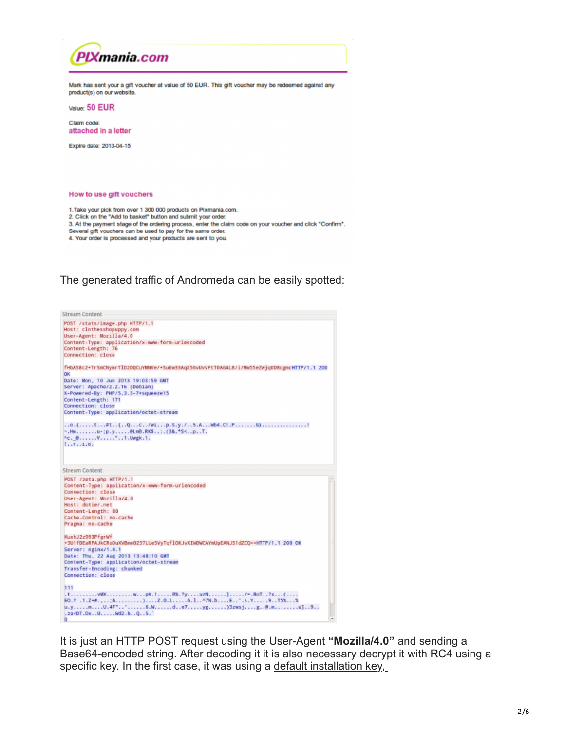

Several gift vouchers can be used to pay for the same order.

4. Your order is processed and your products are sent to you.

## The generated traffic of Andromeda can be easily spotted:



It is just an HTTP POST request using the User-Agent **"Mozilla/4.0"** and sending a Base64-encoded string. After decoding it it is also necessary decrypt it with RC4 using a specific key. In the first case, it was using a default installation key,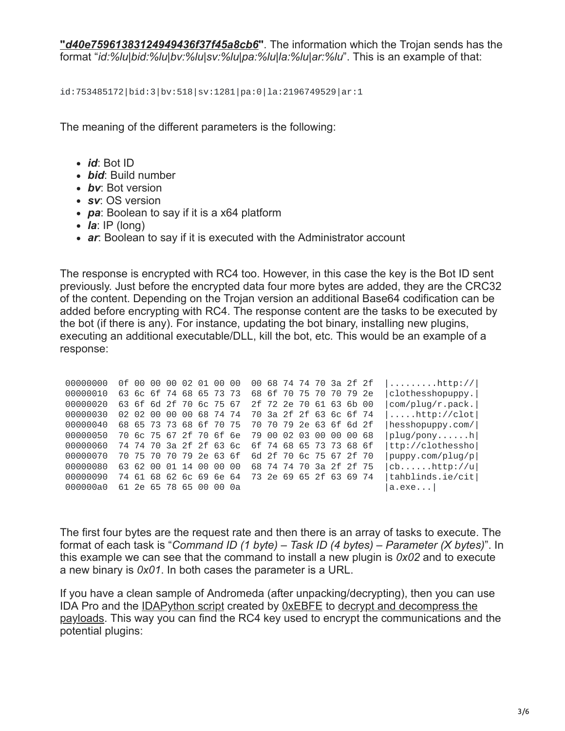**"***[d40e75961383124949436f37f45a8cb6](https://www.google.com/search?q=d40e75961383124949436f37f45a8cb6+andromeda)***"**. The information which the Trojan sends has the format "*id:%lu|bid:%lu|bv:%lu|sv:%lu|pa:%lu|la:%lu|ar:%lu*". This is an example of that:

id:753485172|bid:3|bv:518|sv:1281|pa:0|la:2196749529|ar:1

The meaning of the different parameters is the following:

- *id*: Bot ID
- *bid*: Build number
- *bv*: Bot version
- *sv*: OS version
- *pa*: Boolean to say if it is a x64 platform
- *la*: IP (long)
- *ar*: Boolean to say if it is executed with the Administrator account

The response is encrypted with RC4 too. However, in this case the key is the Bot ID sent previously. Just before the encrypted data four more bytes are added, they are the CRC32 of the content. Depending on the Trojan version an additional Base64 codification can be added before encrypting with RC4. The response content are the tasks to be executed by the bot (if there is any). For instance, updating the bot binary, installing new plugins, executing an additional executable/DLL, kill the bot, etc. This would be an example of a response:

| 00000000 |  |  | 0f 00 00 00 02 01 00 00 |  |  | 00 68 74 74 70 3a 2f 2f |  |  | $ \ldots \ldots \ldots$ .http:// $ $ |
|----------|--|--|-------------------------|--|--|-------------------------|--|--|--------------------------------------|
| 00000010 |  |  | 63 6c 6f 74 68 65 73 73 |  |  | 68 6f 70 75 70 70 79 2e |  |  | $ clothesshopupp$ .                  |
| 00000020 |  |  | 63 6f 6d 2f 70 6c 75 67 |  |  | 2f 72 2e 70 61 63 6b 00 |  |  | com/plug/r.pack.                     |
| 00000030 |  |  | 02 02 00 00 00 68 74 74 |  |  | 70 3a 2f 2f 63 6c 6f 74 |  |  | $  \ldots$ .http://clot $ $          |
| 00000040 |  |  | 68 65 73 73 68 6f 70 75 |  |  | 70 70 79 2e 63 6f 6d 2f |  |  | hesshopuppy.com/                     |
| 00000050 |  |  | 70 6c 75 67 2f 70 6f 6e |  |  | 79 00 02 03 00 00 00 68 |  |  | $ p \log / p$ onyh                   |
| 00000060 |  |  | 74 74 70 3a 2f 2f 63 6c |  |  | 6f 74 68 65 73 73 68 6f |  |  | ttp://clothessho                     |
| 00000070 |  |  | 70 75 70 70 79 2e 63 6f |  |  | 6d 2f 70 6c 75 67 2f 70 |  |  | puppy.com/plug/p                     |
| 00000080 |  |  | 63 62 00 01 14 00 00 00 |  |  | 68 74 74 70 3a 2f 2f 75 |  |  | $ cb \ldots \ldots http://u $        |
| 00000090 |  |  | 74 61 68 62 6c 69 6e 64 |  |  | 73 2e 69 65 2f 63 69 74 |  |  | tahblinds.ie/cit                     |
| 000000a0 |  |  | 61 2e 65 78 65 00 00 0a |  |  |                         |  |  | a.exe                                |

The first four bytes are the request rate and then there is an array of tasks to execute. The format of each task is "*Command ID (1 byte) – Task ID (4 bytes) – Parameter (X bytes)*". In this example we can see that the command to install a new plugin is *0x02* and to execute a new binary is *0x01*. In both cases the parameter is a URL.

If you have a clean sample of Andromeda (after unpacking/decrypting), then you can use [IDA Pro and the IDAPython script created by 0xEBFE to decrypt and decompress the](http://www.0xebfe.net/blog/2013/03/30/fooled-by-andromeda/) payloads. This way you can find the RC4 key used to encrypt the communications and the potential plugins: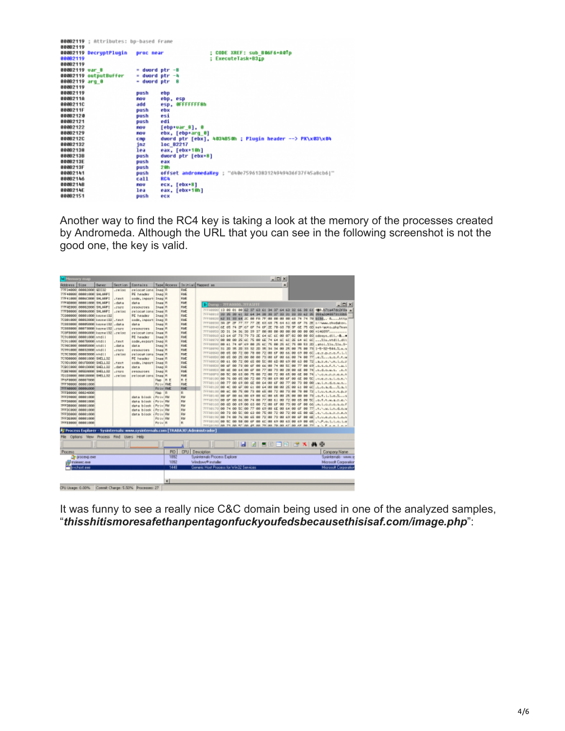|                | 00082119 ; Attributes: bp-based Frame |                     |                      |                                                           |
|----------------|---------------------------------------|---------------------|----------------------|-----------------------------------------------------------|
| 88882119       |                                       |                     |                      |                                                           |
|                | 000B2119 DecryptPlugin                | proc near           |                      | : CODE XREF: sub BOGF6+A0Tp                               |
| 88082119       |                                       |                     |                      | : ExecuteTask+B31p                                        |
| 88882119       |                                       |                     |                      |                                                           |
| 00082119 var 8 |                                       | $=$ duord ptr $-8$  |                      |                                                           |
|                | 00082119 outputBuffer                 | $=$ duard ptr $-$ 4 |                      |                                                           |
| 88062119 arg 8 |                                       | - dword ptr 8       |                      |                                                           |
| 88882119       |                                       |                     |                      |                                                           |
| 88882119       |                                       | push                | ebp                  |                                                           |
| 88082118       |                                       | FIG U               | ebp, esp             |                                                           |
| 88082110       |                                       | add                 | esp, OFFFFFFF8h      |                                                           |
| 8888211F       |                                       | push                | ebx                  |                                                           |
| 88082120       |                                       | push                | esi                  |                                                           |
| 00082121       |                                       | push                | edi                  |                                                           |
| 88082122       |                                       | Fab U               | $[$ ebp*var 8 $], 0$ |                                                           |
| 88882129       |                                       | <b>FIGU</b>         | ebx, [ebp+arq_0]     |                                                           |
| 88082120       |                                       | CRD                 |                      | dword ptr [ebx], 4034850h ; Plugin header --> PK\x03\x04  |
| 00082132       |                                       | inz                 | loc B2217            |                                                           |
| 88082138       |                                       | lea                 | eax, [ebx+10h]       |                                                           |
| 88882138       |                                       | push                | dword ptr [ebx+8]    |                                                           |
| 800B213E       |                                       | push                | eax                  |                                                           |
| 0006213F       |                                       | push                | 2 Ah                 |                                                           |
| 88082141       |                                       | push                |                      | offset andromedaKeu : "dh@e75961383124949436F37f45a8cb6 " |
| 88882146       |                                       | call                | <b>RCA</b>           |                                                           |
| 80082148       |                                       | FIOLU               | ecx, [ebx+8]         |                                                           |
| 0008214E       |                                       | lea                 | eax, [ebx+10h]       |                                                           |
|                |                                       |                     |                      |                                                           |
| 88082151       |                                       | push                | ecx                  |                                                           |

Another way to find the RC4 key is taking a look at the memory of the processes created by Andromeda. Although the URL that you can see in the following screenshot is not the good one, the key is valid.

| <sup>1</sup> Hemary ma  |                            |                                           |          |                                                                                  |                          |          |                   | $ \Box$ $\times$                                                                                                                                          |                              |
|-------------------------|----------------------------|-------------------------------------------|----------|----------------------------------------------------------------------------------|--------------------------|----------|-------------------|-----------------------------------------------------------------------------------------------------------------------------------------------------------|------------------------------|
| Address Size            |                            | <b>Owner</b>                              | Sect Lan | Contains                                                                         |                          |          |                   | Tape Access   Is itial Happed as<br>۰                                                                                                                     |                              |
|                         | 77FD4000 00002000 00102    |                                           | .00100   | petionat ions Theo R                                                             |                          |          | <b>PAK</b>        |                                                                                                                                                           |                              |
|                         | 77F48880 08891000 S4 MW1   |                                           |          | PE header                                                                        | Inaq R                   |          | <b>PAG</b>        |                                                                                                                                                           |                              |
|                         | 77F41888 0086C000 SHLMP1   |                                           | .5045    | code, inport: Inag R                                                             |                          |          | RME               |                                                                                                                                                           |                              |
|                         | 77FDDAWN PROG10ER S4.MDFT  |                                           | . riak a | riat.a                                                                           | <b>Inaa</b> R            |          | <b>FILE</b>       | D.Duma - WEADOOD, WEASTER                                                                                                                                 | $ \Box$                      |
|                         | 77FEE000 00002000 SALMET   |                                           | 17500    | <b>DESONDORS</b>                                                                 | Inaa R                   |          | <b>FME</b>        |                                                                                                                                                           |                              |
|                         | 77FB8800 00006000 S4_MAPS  |                                           | 1000     | petional tons I has R                                                            |                          |          | <b>PME</b>        | 7FFR0001 10 00 01 00 62 07 60 61 04 07 64 60 02 66 00 61 700.b7ca47dc2FBs A<br>7/FF00110 00 00 00 41 02 44 04 00 00 07 08 01 08 08 42 06 008x2d4007010066 |                              |
|                         | 70900000 00001000 keyee122 |                                           |          | PE header                                                                        | Inaq R                   |          | <b>PAG</b>        |                                                                                                                                                           |                              |
|                         |                            | 70980800 000920000 keyee (82 . test       |          | code, inport: Inag R                                                             |                          |          | RME               | TFF00000 3D 3F 3F 77 77 77 3E 63 68 7E 64 63 68 6F 76 3E s/Apps charlelow.                                                                                |                              |
|                         |                            | 7CEEBOO EBBOSOBB Server [32] , data       |          | dat.a                                                                            | <b>Inaa</b> R            |          | RME               | 7FF200401 6E 6S 74 2F 67 6F 74 6F 2E 78 68 78 8F 6E 7S 6D set-recto-phpTeam                                                                               |                              |
|                         |                            | 7088880 88873000 kerne 132 . rscc         |          | <b>CESONITOES</b>                                                                | <b>Inaa</b> R            |          | <b>PAR</b>        | 7/77/2003) DD St D4 D6 D0 D9 37 00:00 00 00 00 00 00 00 00 00 +546097                                                                                     |                              |
|                         |                            | 708F8000 80006000 kerne [32] . religo     |          | retoost loval Isaa R                                                             |                          |          | <b>FME</b>        | 7FFR0000 60 64 6F 70 79 70 2E 64 60 60 00 07 22 00 08 00 08000 001.                                                                                       |                              |
|                         | 70918880 88881888 ntd11    |                                           |          | PE header                                                                        | Inag R                   |          | PME               | 7FFR0070 00 00 00 25 6C 75 00 6E 74 64 6C 6C 26 64 6C 6C  Xis_stdli.dit                                                                                   |                              |
|                         | 70911000 00070000 ntd11    |                                           | .5991    | code, esporti InagiR                                                             |                          |          | <b>PAG</b>        | 7FF00000 00 61 74 6F 69 00 26 6C 76 00 26 6C 76 00 53 2D .atol. Xtu. Xtu. 9-                                                                              |                              |
|                         | 7C90C000 00005000 / vtd11  |                                           | .4464    | <b>Cist.s</b>                                                                    | Inaq R                   |          | RME               | 777100331 31 33 35 35 36 38 32 30 35 34 34 36 35 36 75 36 73 1-5-32-544.X.x.x                                                                             |                              |
|                         | 7C99GBBB BBB320000 /vtd11  |                                           | .1528    | <b>PRSMPTES</b>                                                                  | <b>Inaa</b> R            |          | RME               | 7FF0800100 65 60 72 60 78 60 72 60 6F 60 66 60 69 60 6C - 0.7. D. F.O. F. LL                                                                              |                              |
|                         | 70903800 88803000 ntd11    |                                           | .relse   | retional tows I has R                                                            |                          |          | <b>PAR</b>        |                                                                                                                                                           |                              |
|                         | 7C9D8000 88801008 94TLL32  |                                           |          | PE header                                                                        | Inaa R                   |          | <b>FME</b>        | 7FFR0000 00 61 00 72 00 65 00 55 00 60 00 60 00 60 00 72 .a.z.e.v.m.i.c.z                                                                                 |                              |
|                         | 70906900 006F0000 940LL02  |                                           | .test    | code, inparti Inag R                                                             |                          |          | PME               | 7FFR0000100 GF 00 73 00 GF 00 GE 00 74 00 SC 00 77 00 GP .0.0.0.F.T. L.L.L                                                                                |                              |
|                         | 70900999 00010000 9461192  |                                           | .data    | dat.s                                                                            | Inag R                   |          | <b>PAG</b>        | 777100001 00 68 00 64 00 67 00 77 00 78 00 20 00 68 00 74 -A-4-6-W-S- -A-5                                                                                |                              |
|                         | 7CEE9000 00509000 9461132  |                                           | .0424    | Pesquises.                                                                       | Inaq R                   |          | RME               | 7FF088F0 88 50 88 63 88 75 88 72 88 72 88 65 88 65 88 74                                                                                                  |                              |
| TEXPROOF PROGTOPS       | 7010/800 80018060 9411.52  |                                           | $-19100$ | retooak ions Inag R                                                              |                          |          | <b>FS/R</b>       | 7FFG0000 00 76 00 65 00 72 00 73 00 69 00 6F 00 6E 00 5C                                                                                                  |                              |
| 7FF58800 88801000       |                            |                                           |          |                                                                                  | Nap   Fl E<br>Privil RME |          | R E<br><b>FME</b> | 7FFR0110 00 77 00 69 00 6E 00 64 00 6F 00 77 00 70 00 00 Jw.L.FLd.g.M.R.J.                                                                                |                              |
| 7FFA8000 00006000       |                            |                                           |          |                                                                                  | Poliv RME                |          | <b>PAC</b>        | 7FFR0020 00 40 00 6F 00 66 00 64 00 00 00 25 00 64 00 60 11.0.0.0.0.1.2.0.1                                                                               |                              |
| 7FFE8880 00824000       |                            |                                           |          |                                                                                  | <b>Hap</b>               | <b>R</b> | R                 | 7FFR0130 00 4C 00 75 00 73 00 45 00 72 00 73 00 70 00 73 11.0.4.4.7.4.0.7                                                                                 |                              |
| TFFD9000 00001000       |                            |                                           |          | data block                                                                       | i Peliu RM               |          | RM                | 777101401 00 4P 00 46 00 49 00 4C 00 4K 00 2K 00 00 00 7K -1.1.1.2.X                                                                                      |                              |
| TEEDMAN PRINT DER       |                            |                                           |          | data block                                                                       | i Peliu RM               |          | RM                | 77720150 88 67 88 66 88 89 74 88 77 88 61 88 72 88 65 88 50 .c.f.t.u.e.r.c.                                                                               |                              |
| <b>TEEDROOM PROGRAM</b> |                            |                                           |          | data block (Priv RM                                                              |                          |          | PM                | 7FFR0001 00 60 00 69 00 63 00 72 00 6F 00 73 00 6F 00 66 - 1.0.1.0.1.0.1.0.1                                                                              |                              |
| 7FFDC000 00001000       |                            |                                           |          | data block (PrivilPM                                                             |                          |          | PM                | 7FFREE70 00 74 00 50 00 77 00 69 00 65 00 64 00 67 00 77 st. N.W. Linudious                                                                               |                              |
|                         | 7FFD0800 00001000          |                                           |          | data biock - Poly RM                                                             |                          |          | RM                | 7FFR0001 00 73 00 50 00 63 00 75 00 72 00 72 00 65 00 65                                                                                                  |                              |
| 7FFDE@@G 00001000       |                            |                                           |          |                                                                                  | Pe-iu RM                 |          | RM                | 7FFR00701 00 74 00 76 00 65 00 72 00 73 00 69 00 6F 00 6E .t.u.e.v.s.i.o.n                                                                                |                              |
| TEEBROOF DEBITIONS      |                            |                                           |          |                                                                                  | Pe-iu R                  |          | R                 | 77700000 00 50 00 50 00 47 00 40 00 49 00 45 00 45 00 45 1.P.o.L.L.o.L.                                                                                   |                              |
|                         |                            |                                           |          |                                                                                  |                          |          |                   | 797 COLORS PR. 73, PR. 57, PR. 45, PR. 45, 23, PR. 20, 27, PR. 47, PR. 47, PR. 77, P. 5, P. 6, P. 6, P. 6, P.                                             |                              |
|                         |                            |                                           |          | At Process Explorer - Sysinternals: www.sysinternals.com [TRABAJO\Administrador] |                          |          |                   |                                                                                                                                                           |                              |
|                         |                            | File Options View Process Find Users Help |          |                                                                                  |                          |          |                   |                                                                                                                                                           |                              |
|                         |                            |                                           |          |                                                                                  |                          |          |                   | <b>MARDERY X 46</b>                                                                                                                                       |                              |
| Process                 |                            |                                           |          |                                                                                  |                          | PID      |                   | <b>CPU</b> Description                                                                                                                                    | Conpany Name                 |
|                         | Or process each            |                                           |          |                                                                                  |                          | 1892     |                   | Sysinternals Process Explorer                                                                                                                             | Sysinternals - www.s         |
|                         | El trainanc.nom            |                                           |          |                                                                                  |                          | 1092     |                   | Windowe® installer                                                                                                                                        | <b>Microsoft Corporation</b> |
|                         | wcheet.exe                 |                                           |          |                                                                                  |                          | 1445     |                   | Generic Host Process for Win32 Services                                                                                                                   | <b>Merceoft Carpanako</b>    |
|                         |                            |                                           |          |                                                                                  |                          |          |                   |                                                                                                                                                           |                              |
|                         |                            |                                           |          |                                                                                  |                          |          |                   |                                                                                                                                                           |                              |
|                         |                            |                                           |          |                                                                                  |                          | $\cdot$  |                   |                                                                                                                                                           |                              |
| CPU Lloage: 0.00%       |                            |                                           |          | Connit Charge: 5.50% Processes: 27                                               |                          |          |                   |                                                                                                                                                           |                              |

It was funny to see a really nice C&C domain being used in one of the analyzed samples, "*thisshitismoresafethanpentagonfuckyoufedsbecausethisisaf.com/image.php*":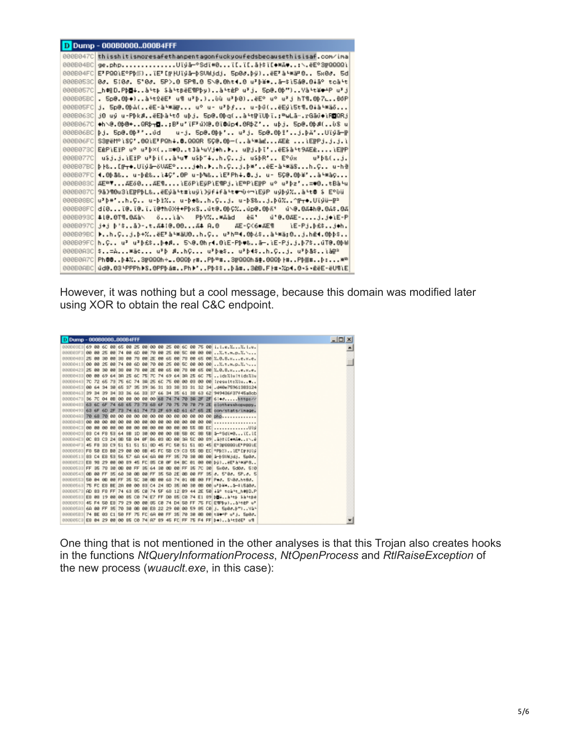|          | <b>D</b> Dump - 000B0000000B4FFF                                                   |
|----------|------------------------------------------------------------------------------------|
|          | 0000047C thisshitismoresafethanpentagonfuckyoufedsbecausethisisaf.com/ima          |
|          | 8008048C ge.phpUïýå—°Sdï#0ï[.ï[.å \$ï[♦₩Ā♦:\.ëE°3FQQQQì                            |
|          | 000804FC E『PQQìE°Pþ笏),ǐE『[rHUïyā—þSUwjdj. 5p0♂.þÿ),ēE『àʰ≋º0 5x0♂. 5d               |
|          | 00080538 0∂. 5¦0∂. 5°0∂. 5P>.8 5P9.8 5\0.8ht4.8 u}þ¥#à—\$ì5á0.8iā° tcà't           |
|          | 0008057C _h\$ND.Pb⊠↓à५tβ \$à५tBëE¶Pby)à५tèP u}j. 5p@.0b")Yà५t¥♥∸P u}j              |
|          | 0008058C . 5p@.0þ♦)ኔʰt2ēE' u¶ u'þ.)ùù u'þ0)ëE° u° u'j hT¶.0þ7∟8dP                  |
|          | 000805FC j. 5p0.0þa(ëE-a-war u° u- u'þ∮ u-þū(ëEyì5t¶.0∔a-was                       |
|          | 00080638 j0 uÿ u-PβkøĕEβàԿtō uβj. 5p0.0þq(àԿt#ïUβï.:≞wLā….rGāŭ♦ìR◘QRj              |
|          | 000B067C ♦h৲@.8β@←QRþ┯▊:B'u'ïF'úX@.8ï@úp◀.8RþZ' uþj. 5p@.8þØ(ùS u                  |
|          | 00080688  bj. 5p@.@b**ŭd == u-j. 5p@.@bp* u*j. 5p@.@bi*j.bä*Uïyā— h                |
|          | 000806FC SS##M°\\$C'.0Q\E'PQh+.0.QQQR 5C0.0þ-(à'*&àdAEd \EPPj.j.j.)                |
|          | 000B073C EèPìEïP u° u'þ×(=⊕0t]à-uVj⊕h.⊫ uβj.þī′ĕE\$à-t9ÃEèìEβP                     |
|          | 000B077C  u\$j.j.iEïP u*bi(àʰu♥ u\$b~↓h.Cj. u\$bR' E°ŭx = u*b&(j.                  |
|          | 000807BC þ⊦‱[╔┬♠.Uïýā—ŏVÃE°j♦h.⊧h.Cj.þ*'ĕE-à-*ä§h.C u-hel                          |
|          | 000807FC <b> 4.0βâ&amp; u-bē&amp;\4C'.0P u-b‱&amp;\E'Ph↓.8.j. u- 5C0.0β¥'à'¤àç</b> |
|          | 00080838 AE≞∵AEŏ0AE¶ìEŏPìEŭPìE¶Pj.ìE≞PìE⊯P u° u'♭z'=♥0tBàԿu                        |
| 000B087C | 9ā)¶0u3iE╠PþL&ĕEjā≒t≢iuÿi)ÿf∔fà≒t⊕mū÷miEÿP uýþý%à≒t@ \$ E°ūü                       |
|          | 000808888 <b> uPþ#'h.C u-þi% u-þ∌‱h.C</b> j. u-þ\$‱j.þū%^m <del>r</del> ⊕.Uïyü—∥P  |
|          | 000808FC d(0(0.(0.(.(0th0X++PÞxSdt0.8bC%do0.8bሸ' d\0.8Ath0.8A\$.8A                 |
|          | 00080930 \$10.0TM.0Aä\ ŏlä\ PþV%*Aäd èñ' ú'0.0AE-j.j+lE-P                          |
|          | 0000097CLi+i b'\$å)-.t.Ä#!0.00Ä# A.O - ÄE-C(6mÄE¶ - LE-Pj.b£\$j+h.                 |
|          | 800809BC ▶h.Cj.þ+%ĕE'à└※äU0h.C u'h≏4.8β¿\$à└※ä:0j.hē4.8βþ\$                        |
|          | 000809FC h.C u* u*b£\$be0 5\@.0hr4.8iE-Pb#&ā—.iE-Pj.j.b7\$uT@.8bW                  |
|          | 00080A3C \$=A≢ä¢ u*Þ ∦hC u*Þæ\$ u*Þ◀\$h.Cj. u*Þå\$\ä#ª !                           |
|          | 00080A7C Ph88b4%3mQQQh+_.0QQbr#Pb@#3mQQQhä\$.0QQbl#Pb##b:w@                        |
|          | 00080ABC dd0.03\PPPh♪S.0PPþámPh♪'Pþ\$\$þåm320.F├#・%p1.0・\$・20E-0U¶ìE               |

However, it was nothing but a cool message, because this domain was modified later using XOR to obtain the real C&C endpoint.

| D Dump - 0008000000084FFF |  |                   |  |                                  |         |             |  |  |                                                                                                                                                      | $\Box$ |
|---------------------------|--|-------------------|--|----------------------------------|---------|-------------|--|--|------------------------------------------------------------------------------------------------------------------------------------------------------|--------|
|                           |  |                   |  |                                  |         |             |  |  | 0006088169 00 68 00 65 00 25 00 00 00 25 00 68 26 00 75 00 i.l.e.XX.l.u.                                                                             |        |
|                           |  |                   |  |                                  |         |             |  |  |                                                                                                                                                      |        |
|                           |  |                   |  |                                  |         |             |  |  | 88888483 25 88 38 88 38 88 78 88 25 88 65 88 78 88 65 88 %.0.8.xe.x.e.                                                                               |        |
|                           |  |                   |  |                                  |         |             |  |  |                                                                                                                                                      |        |
|                           |  |                   |  |                                  |         |             |  |  | 88888423 25 88 38 88 38 88 78 88 2E 88 65 88 78 88 65 88 2.0.8.x                                                                                     |        |
| 88262433 00 88 69 64      |  |                   |  |                                  |         |             |  |  | 38 25 6C 75 7C 74 69 64 38 25 6C 75 (d) Xiuitid) Xiu                                                                                                 |        |
|                           |  |                   |  |                                  |         |             |  |  | 88888448 7C 72 65 78 75 6C 74 8A 25 6C 75 80 00 88 00 88 ¦results%lu♥                                                                                |        |
|                           |  |                   |  |                                  |         |             |  |  | 88888453 00 64 34 38 65 37 35 39 36 31 33 38 33 31 32 34 440 75961383124                                                                             |        |
|                           |  |                   |  |                                  |         |             |  |  | 88888463 39 34 39 34 33 36 66 33 37 66 34 35 61 38 63 62 949436F37f45a8cb                                                                            |        |
|                           |  |                   |  |                                  |         |             |  |  | 00080478 36 7C 04 8B 00 88 00 88 00 68 74 74 70 88 2F 2M 6:**http://                                                                                 |        |
|                           |  |                   |  |                                  |         |             |  |  | 88868483 63 6C 6F 74 68 65 73 73 68 6F 78 75 78 78 79 2E clothesshopuppy.                                                                            |        |
| 88009493 62 6F 6D 2F      |  |                   |  |                                  |         |             |  |  | 73 74 61 74 73 2F 69 6D 61 67 65 2E con/stats/inage.                                                                                                 |        |
|                           |  |                   |  |                                  |         |             |  |  |                                                                                                                                                      |        |
|                           |  |                   |  |                                  |         |             |  |  |                                                                                                                                                      |        |
|                           |  |                   |  |                                  |         |             |  |  |                                                                                                                                                      |        |
|                           |  |                   |  |                                  |         |             |  |  | 800604D8 88 C4 F8 58 64 8B 1D 80 00 80 00 8B 5B 8C 8B 5B \$-°SdI#0II.II                                                                              |        |
|                           |  |                   |  |                                  |         |             |  |  | 800804EB 0C 88 CS 24 88 5B 04 8F 86 03 0D 80 8A 5C 00 89 .iHt[[+mA+\.#                                                                               |        |
|                           |  |                   |  |                                  |         |             |  |  | 888884F3 45 F8 33 C9 51 51 51 51 80 45 FC 50 51 51 80 45 E*308881E*PBB1E                                                                             |        |
|                           |  |                   |  |                                  |         |             |  |  | 00060503 F8 50 E8 80 29 00 00 88 45 FC 58 C9 C3 55 88 EC °PM3)}EP[PHU]J                                                                              |        |
|                           |  |                   |  |                                  |         |             |  |  | 88888513 83 C4 E8 53 56 57 6A 64 6A 88 FF 35 78 38 88 88 4-05UM 6dj. 5p8g.                                                                           |        |
| 00000523 E8 98 29         |  |                   |  | 88 88 89 45 FC 85 CB             |         |             |  |  | OF 84 BC 81 00 88 54). WE'LIWE'S.                                                                                                                    |        |
| 00060533 FF 35 78 38 08   |  |                   |  | 88 FF 35 64 38 66 88 FF 35 7C 38 |         |             |  |  | Sued, Sded, 518                                                                                                                                      |        |
| 00 00 02 02390999         |  |                   |  |                                  |         |             |  |  | 00060548 <b>68688FF95668980888FF955582E0880FF9558</b> .5788.5P.0.5                                                                                   |        |
|                           |  | 88 FF 35 5C 38 8B |  |                                  | $-0.43$ | 68 74 81 88 |  |  | 88 FF PAP, 5\8P.ht8P.                                                                                                                                |        |
|                           |  |                   |  |                                  |         |             |  |  | 00080568 75 FC E8 BE 20 00 00 88 04 24 8D 85 00 80 08 00 w'\$¥*,.\$-\$15\$00.                                                                        |        |
|                           |  |                   |  |                                  |         |             |  |  | 00060573 AD 83 F8 FF 74 63 85 C8 74 5F 68 12 89 44 25 58 #@ sc@*t_h判D.P <br>00000500 EB 88 19 88 00 85 CO 74 E7 FF DO 85 CO 74 E1 89 684 Atta inter- |        |
|                           |  |                   |  |                                  |         |             |  |  |                                                                                                                                                      |        |
|                           |  |                   |  |                                  |         |             |  |  | 88888893 45 F4 50 E8 79 29 00 00 85 C0 74 D4 50 FF 75 FC EMP\$y),.ä4t@P u?                                                                           |        |
|                           |  |                   |  |                                  |         |             |  |  | 000805A3 6A 00 FF 95 70 90 08 08 E8 22 29 08 00 59 05 88 j. 5p80.0")Y&Y                                                                              |        |
|                           |  |                   |  |                                  |         |             |  |  | 00000503 74 BE 03 C1 50 FF 75 FC 68 BF 35 70 38 08 88 69 67 5 5000.                                                                                  |        |
|                           |  |                   |  |                                  |         |             |  |  | 000605C3 E8 04 29 00 00 85 00 74 87 89 45 FC FF 75 F4 FF 0+),,&\t2dE' w1                                                                             |        |

One thing that is not mentioned in the other analyses is that this Trojan also creates hooks in the functions *NtQueryInformationProcess*, *NtOpenProcess* and *RtlRaiseException* of the new process (*wuauclt.exe*, in this case):